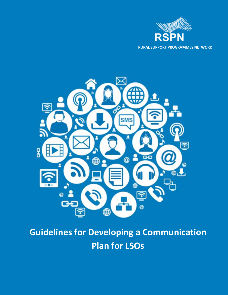



# **Guidelines for Developing a Communication Plan for LSOs**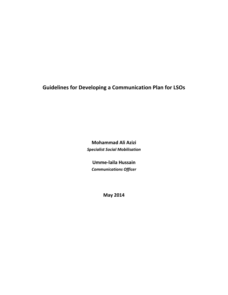**Guidelines for Developing a Communication Plan for LSOs**

**Mohammad Ali Azizi** *Specialist Social Mobilisation*

**Umme-laila Hussain** *Communications Officer*

**May 2014**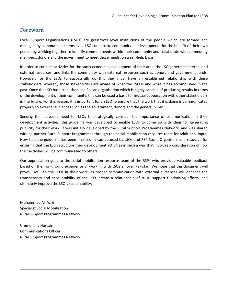### **Foreword**

Local Support Organisations (LSOs) are grassroots level institutions of the people which are formed and managed by communities themselves. LSOs undertake community-led development for the benefit of their own people by working together to identify common needs within their community and collaborate with community members, donors and the government to meet those needs, on a self-help basis.

In order to conduct activities for the socio-economic development of their area, the LSO generates internal and external resources, and links the community with external resources such as donors and government funds. However, for the LSOs to successfully do this they must have an established relationship with these stakeholders, whereby those stakeholders are aware of what the LSO is and what it has accomplished in the past. Once the LSO has established itself as an organisation which is highly capable of producing results in terms of the development of their community, this can be used a basis for mutual cooperation with other stakeholders in the future. For this reason, it is important for an LSO to ensure that the work that it is doing is communicated properly to external audiences such as the government, donors and the general public.

Sensing the increased need for LSOs to strategically consider the importance of communication in their development activities, this guideline was developed to enable LSOs to come up with ideas for generating publicity for their work. It was initially developed by the Rural Support Programmes Network, and was shared with all partner Rural Support Programmes through the social mobilisation resource team for additional input. Now that the guideline has been finalised, it can be used by LSOs and RSP Social Organisers as a resource for ensuring that the LSOs structure their development activities in such a way that involves a consideration of how their activities will be communicated to others.

Our appreciation goes to the social mobilisation resource team of the RSPs who provided valuable feedback based on their on-ground experience of working with LSOs all over Pakistan. We hope that this document will prove useful to the LSOs in their work, as proper communication with external audiences will enhance the transparency and accountability of the LSO, create a relationship of trust, support fundraising efforts, and ultimately improve the LSO's sustainability.

Muhammad Ali Azizi Specialist Social Mobilisation Rural Support Programmes Network

Umme-laila Hussain Communications Officer Rural Support Programmes Network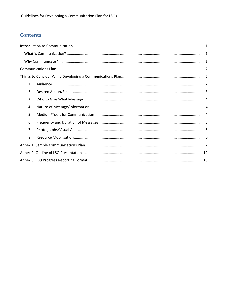# **Contents**

| $\mathbf{1}$ . |  |
|----------------|--|
| 2.             |  |
| 3.             |  |
| 4.             |  |
| 5.             |  |
| 6.             |  |
| 7.             |  |
| 8.             |  |
|                |  |
|                |  |
|                |  |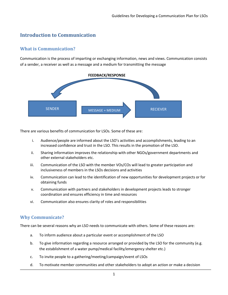# <span id="page-4-0"></span>**Introduction to Communication**

### <span id="page-4-1"></span>**What is Communication?**

Communication is the process of imparting or exchanging information, news and views. Communication consists of a sender, a receiver as well as a message and a medium for transmitting the message



There are various benefits of communication for LSOs. Some of these are:

- i. Audience/people are informed about the LSO's activities and accomplishments, leading to an increased confidence and trust in the LSO. This results in the promotion of the LSO.
- ii. Sharing information improves the relationship with other NGOs/government departments and other external stakeholders etc.
- iii. Communication of the LSO with the member VOs/COs will lead to greater participation and inclusiveness of members in the LSOs decisions and activities
- iv. Communication can lead to the identification of new opportunities for development projects or for obtaining funds
- v. Communication with partners and stakeholders in development projects leads to stronger coordination and ensures efficiency in time and resources
- vi. Communication also ensures clarity of roles and responsibilities

### <span id="page-4-2"></span>**Why Communicate?**

There can be several reasons why an LSO needs to communicate with others. Some of these reasons are:

- a. To inform audience about a particular event or accomplishment of the LSO
- b. To give information regarding a resource arranged or provided by the LSO for the community (e.g. the establishment of a water pump/medical facility/emergency shelter etc.)
- c. To invite people to a gathering/meeting/campaign/event of LSOs
- d. To motivate member communities and other stakeholders to adopt an action or make a decision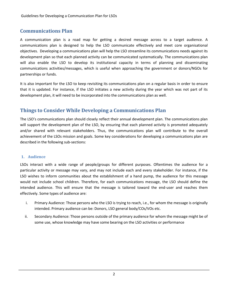## <span id="page-5-0"></span>**Communications Plan**

A communication plan is a road map for getting a desired message across to a target audience. A communications plan is designed to help the LSO communicate effectively and meet core organisational objectives. Developing a communications plan will help the LSO streamline its communications needs against its development plan so that each planned activity can be communicated systematically. The communications plan will also enable the LSO to develop its institutional capacity in terms of planning and disseminating communications activities/messages, which is useful when approaching the government or donors/NGOs for partnerships or funds.

It is also important for the LSO to keep revisiting its communications plan on a regular basis in order to ensure that it is updated. For instance, if the LSO initiates a new activity during the year which was not part of its development plan, it will need to be incorporated into the communications plan as well.

### <span id="page-5-1"></span>**Things to Consider While Developing a Communications Plan**

The LSO's communications plan should closely reflect their annual development plan. The communications plan will support the development plan of the LSO, by ensuring that each planned activity is promoted adequately and/or shared with relevant stakeholders. Thus, the communications plan will contribute to the overall achievement of the LSOs mission and goals. Some key considerations for developing a communications plan are described in the following sub-sections:

### <span id="page-5-2"></span>**1. Audience**

LSOs interact with a wide range of people/groups for different purposes. Oftentimes the audience for a particular activity or message may vary, and may not include each and every stakeholder. For instance, if the LSO wishes to inform communities about the establishment of a hand pump, the audience for this message would not include school children. Therefore, for each communications message, the LSO should define the intended audience. This will ensure that the message is tailored toward the end-user and reaches them effectively. Some types of audience are:

- i. Primary Audience: Those persons who the LSO is trying to reach, i.e., for whom the message is originally intended. Primary audience can be: Donors, LSO general body/COs/VOs etc.
- ii. Secondary Audience: Those persons outside of the primary audience for whom the message might be of some use, whose knowledge may have some bearing on the LSO activities or performance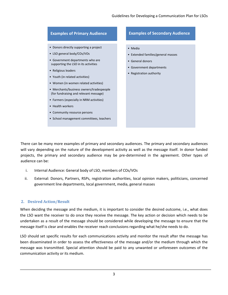### **Examples of Primary Audience** • Donors directly supporting a project • LSO general body/COs/VOs • Government departments who are supporting the LSO in its activities • Religious leaders • Youth (in related activities) • Women (in women related activities) • Merchants/business owners/tradespeople (for fundraising and relevant message) • Farmers (especially in NRM activities) • Health workers • Community resource persons • School management committees, teachers **Examples of Secondary Audience** • Media • Extended families/general masses • General donors • Government departments • Registration authority

There can be many more examples of primary and secondary audiences. The primary and secondary audiences will vary depending on the nature of the development activity as well as the message itself. In donor funded projects, the primary and secondary audience may be pre-determined in the agreement. Other types of audience can be:

- i. Internal Audience: General body of LSO, members of COs/VOs
- ii. External: Donors, Partners, RSPs, registration authorities, local opinion makers, politicians, concerned government line departments, local government, media, general masses

### <span id="page-6-0"></span>**2. Desired Action/Result**

When deciding the message and the medium, it is important to consider the desired outcome, i.e., what does the LSO want the receiver to do once they receive the message. The key action or decision which needs to be undertaken as a result of the message should be considered while developing the message to ensure that the message itself is clear and enables the receiver reach conclusions regarding what he/she needs to do.

LSO should set specific results for each communications activity and monitor the result after the message has been disseminated in order to assess the effectiveness of the message and/or the medium through which the message was transmitted. Special attention should be paid to any unwanted or unforeseen outcomes of the communication activity or its medium.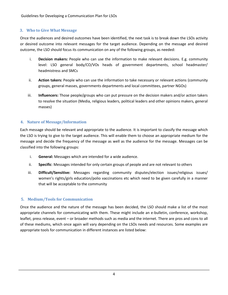### <span id="page-7-0"></span>**3. Who to Give What Message**

Once the audiences and desired outcomes have been identified, the next task is to break down the LSOs activity or desired outcome into relevant messages for the target audience. Depending on the message and desired outcome, the LSO should focus its communication on any of the following groups, as needed:

- i. **Decision makers:** People who can use the information to make relevant decisions. E.g. community level: LSO general body/CO/VOs heads of government departments, school headmaster/ headmistress and SMCs
- ii. **Action takers:** People who can use the information to take necessary or relevant actions (community groups, general masses, governments departments and local committees, partner NGOs)
- iii. **Influencers:** Those people/groups who can put pressure on the decision makers and/or action takers to resolve the situation (Media, religious leaders, political leaders and other opinions makers, general masses)

### <span id="page-7-1"></span>**4. Nature of Message/Information**

Each message should be relevant and appropriate to the audience. It is important to classify the message which the LSO is trying to give to the target audience. This will enable them to choose an appropriate medium for the message and decide the frequency of the message as well as the audience for the message. Messages can be classified into the following groups:

- i. **General:** Messages which are intended for a wide audience.
- ii. **Specific**: Messages intended for only certain groups of people and are not relevant to others
- iii. **Difficult/Sensitive:** Messages regarding community disputes/election issues/religious issues/ women's rights/girls education/polio vaccinations etc which need to be given carefully in a manner that will be acceptable to the community

### <span id="page-7-2"></span>**5. Medium/Tools for Communication**

Once the audience and the nature of the message has been decided, the LSO should make a list of the most appropriate channels for communicating with them. These might include an e-bulletin, conference, workshop, leaflet, press release, event – or broader methods such as media and the internet. There are pros and cons to all of these mediums, which once again will vary depending on the LSOs needs and resources. Some examples are appropriate tools for communication in different instances are listed below: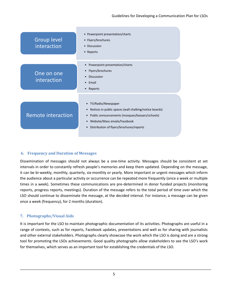| <b>Group level</b><br>interaction | • Powerpoint presentation/charts<br>• Flyers/brochures<br>• Discussion<br>• Reports                                                                                                                                       |
|-----------------------------------|---------------------------------------------------------------------------------------------------------------------------------------------------------------------------------------------------------------------------|
| One on one<br>interaction         | Powerpoint presentation/charts<br>$\bullet$<br>Flyers/brochures<br>$\bullet$<br><b>Discussion</b><br>$\bullet$<br>Email<br>$\bullet$<br>Reports<br>$\bullet$                                                              |
| Remote interaction                | • TV/Radio/Newspaper<br>Notices in public spaces (wall chalking/notice boards)<br>Public announcements (mosques/bazaars/schools)<br>Website/Mass emails/Facebook<br>$\bullet$<br>Distribution of flyers/brochures/reports |

### <span id="page-8-0"></span>**6. Frequency and Duration of Messages**

Dissemination of messages should not always be a one-time activity. Messages should be consistent at set intervals in order to constantly refresh people's memories and keep them updated. Depending on the message, it can be bi-weekly, monthly, quarterly, six-monthly or yearly. More important or urgent messages which inform the audience about a particular activity or occurrence can be repeated more frequently (once a week or multiple times in a week). Sometimes these communications are pre-determined in donor funded projects (monitoring reports, progress reports, meetings). Duration of the message refers to the total period of time over which the LSO should continue to disseminate the message, at the decided interval. For instance, a message can be given once a week (frequency), for 2 months (duration).

### <span id="page-8-1"></span>**7. Photographs/Visual Aids**

It is important for the LSO to maintain photographic documentation of its activities. Photographs are useful in a range of contexts, such as for reports, Facebook updates, presentations and well as for sharing with journalists and other external stakeholders. Photographs clearly showcase the work which the LSO is doing and are a strong tool for promoting the LSOs achievements. Good quality photographs allow stakeholders to see the LSO's work for themselves, which serves as an important tool for establishing the credentials of the LSO.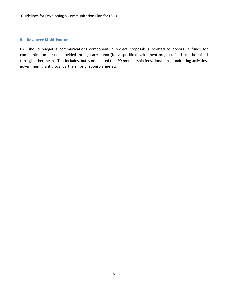### <span id="page-9-0"></span>**8. Resource Mobilisation**

LSO should budget a communications component in project proposals submitted to donors. If funds for communication are not provided through any donor (for a specific development project), funds can be raised through other means. This includes, but is not limited to, LSO membership fees, donations, fundraising activities, government grants, local partnerships or sponsorships etc.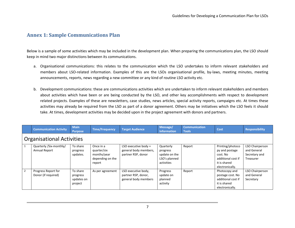### **Annex 1: Sample Communications Plan**

Below is a sample of some activities which may be included in the development plan. When preparing the communications plan, the LSO should keep in mind two major distinctions between its communications.

- a. Organisational communications: this relates to the communication which the LSO undertakes to inform relevant stakeholders and members about LSO-related information. Examples of this are the LSOs organisational profile, by-laws, meeting minutes, meeting announcements, reports, news regarding a new committee or any kind of routine LSO activity etc.
- <span id="page-10-0"></span>b. Development communications: these are communications activities which are undertaken to inform relevant stakeholders and members about activities which have been or are being conducted by the LSO, and other key accomplishments with respect to development related projects. Examples of these are newsletters, case studies, news articles, special activity reports, campaigns etc. At times these activities may already be required from the LSO as part of a donor agreement. Others may be initiatives which the LSO feels it should take. At times, development activities may be decided upon in the project agreement with donors and partners.

|                | <b>Communication Activity</b>              | <b>Main</b><br><b>Purpose</b>                 | <b>Time/Frequency</b>                                                 | <b>Target Audience</b>                                                | Message/<br><b>Information</b>                                        | <b>Communication</b><br><b>Tools</b> | Cost                                                                                                    | <b>Responsibility</b>                                        |  |
|----------------|--------------------------------------------|-----------------------------------------------|-----------------------------------------------------------------------|-----------------------------------------------------------------------|-----------------------------------------------------------------------|--------------------------------------|---------------------------------------------------------------------------------------------------------|--------------------------------------------------------------|--|
|                | <b>Organisational Activities</b>           |                                               |                                                                       |                                                                       |                                                                       |                                      |                                                                                                         |                                                              |  |
|                | Quarterly / Six-monthly/<br>Annual Report  | To share<br>progress<br>updates.              | Once in a<br>quarter/six<br>months/year<br>depending on the<br>report | LSO executive body $+$<br>general body members,<br>partner RSP, donor | Quarterly<br>progress<br>update on the<br>LSO's planned<br>activities | Report                               | Printing/photoco<br>py and postage<br>cost. No<br>additional cost if<br>it is shared<br>electronically. | LSO Chairperson<br>and General<br>Secretary and<br>Treasurer |  |
| $\overline{2}$ | Progress Report for<br>Donor (if required) | To share<br>progress<br>updates on<br>project | As per agreement                                                      | LSO executive body,<br>partner RSP, donor,<br>general body members    | Progress<br>update on<br>planned<br>activity                          | Report                               | Photocopy and<br>postage cost. No<br>additional cost if<br>it is shared<br>electronically.              | <b>LSO Chairperson</b><br>and General<br>Secretary           |  |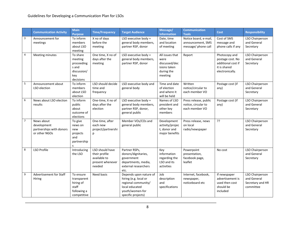|                | <b>Communication Activity</b>                                          | <b>Main</b><br><b>Purpose</b>                                                 | <b>Time/Frequency</b>                                                          | <b>Target Audience</b>                                                                                                            | Message/<br><b>Information</b>                                                    | <b>Communication</b><br><b>Tools</b>                              | Cost                                                                                       | <b>Responsibility</b>                                           |
|----------------|------------------------------------------------------------------------|-------------------------------------------------------------------------------|--------------------------------------------------------------------------------|-----------------------------------------------------------------------------------------------------------------------------------|-----------------------------------------------------------------------------------|-------------------------------------------------------------------|--------------------------------------------------------------------------------------------|-----------------------------------------------------------------|
| 3              | Announcement for<br>meetings                                           | To inform<br>members<br>about LSO<br>meeting                                  | X no of days<br>before the<br>meeting                                          | LSO executive body +<br>general body members,<br>partner RSP, donor                                                               | Date, time<br>and location<br>of meeting                                          | Notice board, e-mail,<br>announcement, SMS<br>message/ phone call | Cost of SMS<br>message and<br>phone calls if any                                           | LSO Chairperson<br>and General<br>Secretary                     |
| 4              | Meeting minutes                                                        | To share<br>meeting<br>proceeding<br>s and<br>discussion/<br>key<br>decisions | One time, X no of<br>days after the<br>meeting                                 | LSO executive body +<br>general body members,<br>partner RSP, donor                                                               | All issues that<br>were<br>discussed/dec<br>isions taken<br>during the<br>meeting | Report                                                            | Photocopy and<br>postage cost. No<br>additional cost if<br>it is shared<br>electronically. | LSO Chairperson<br>and General<br>Secretary                     |
| 5              | Announcement about<br>LSO election                                     | To inform<br>members<br>about LSO<br>election                                 | LSO should decide<br>time and<br>frequency                                     | LSO executive body and<br>general body                                                                                            | Time and date<br>of election<br>and where it<br>will be held                      | Written<br>notice/circular to<br>each member VO                   | Postage cost (if<br>any)                                                                   | LSO Chairperson<br>and General<br>Secretary                     |
| 6              | News about LSO election<br>results                                     | To inform<br>public<br>about<br>outcome of<br>elections                       | One-time, X no of<br>days after the<br>election                                | LSO executive body +<br>general body members,<br>partner RSP, donor,<br>general public                                            | Names of LSO<br>president and<br>other key<br>members                             | Press release, public<br>notice, circular to<br>each member VO    | Postage cost (if<br>any)                                                                   | LSO Chairperson<br>and General<br>Secretary                     |
| $\overline{7}$ | News about<br>development<br>partnerships with donors<br>or other NGOs | To give<br>news on<br>new<br>projects<br>and<br>partnership<br>S              | One-time, after<br>each new<br>project/partnershi<br>p                         | Member VOs/COs and<br>general public                                                                                              | Development<br>activity/projec<br>t, donor and<br>major benefits                  | Press release, news<br>on local<br>radio/newspaper                | ??                                                                                         | LSO Chairperson<br>and General<br>Secretary                     |
| 8              | LSO Profile                                                            | Introducing<br>the LSO                                                        | LSO should have<br>their profile<br>available to<br>present whenever<br>needed | Partner RSPs,<br>donors/dignitaries,<br>government<br>departments, media,<br>external researchers<br>etc.                         | Key<br>information<br>regarding the<br>LSO and its<br>activities                  | Powerpoint<br>presentation,<br>facebook page,<br>leaflet          | No cost                                                                                    | LSO Chairperson<br>and General<br>Secretary                     |
| 9              | Advertisement for Staff<br>Hiring                                      | To ensure<br>transparent<br>hiring of<br>staff<br>following a<br>competitive  | Need basis                                                                     | Depends upon nature of<br>hiring (e.g. local or<br>regional community/<br>local educated<br>youth/women-for<br>specific projects) | Job<br>description<br>and<br>specifications                                       | Internet, facebook,<br>newspaper,<br>noticeboard etc              | If newspaper<br>advertisement is<br>used then cost<br>should be<br>included                | LSO Chairperson<br>and General<br>Secretary and HR<br>committee |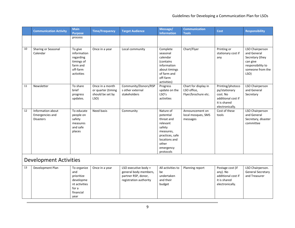٠

|    | <b>Communication Activity</b>                            | <b>Main</b><br><b>Purpose</b>                                                                | <b>Time/Frequency</b>                                             | <b>Target Audience</b>                                                                         | Message/<br><b>Information</b>                                                                                                                 | <b>Communication</b><br><b>Tools</b>                       | <b>Cost</b>                                                                                            | <b>Responsibility</b>                                                                                          |
|----|----------------------------------------------------------|----------------------------------------------------------------------------------------------|-------------------------------------------------------------------|------------------------------------------------------------------------------------------------|------------------------------------------------------------------------------------------------------------------------------------------------|------------------------------------------------------------|--------------------------------------------------------------------------------------------------------|----------------------------------------------------------------------------------------------------------------|
|    |                                                          | process                                                                                      |                                                                   |                                                                                                |                                                                                                                                                |                                                            |                                                                                                        |                                                                                                                |
|    |                                                          |                                                                                              |                                                                   |                                                                                                |                                                                                                                                                |                                                            |                                                                                                        |                                                                                                                |
| 10 | Sharing or Seasonal<br>Calendar                          | To give<br>information<br>regarding<br>timings of<br>farm and<br>off-farm<br>activities      | Once in a year                                                    | Local community                                                                                | Complete<br>seasonal<br>calendar<br>(contains)<br>information<br>about timings<br>of farm and<br>off-farm<br>activities)                       | Chart/Flyer                                                | Printing or<br>stationary cost if<br>any                                                               | LSO Chairperson<br>and General<br>Secretary (they<br>can give<br>responsibility to<br>someone from the<br>LSO) |
| 11 | Newsletter                                               | To share<br>brief<br>progress<br>updates.                                                    | Once in a month<br>or quarter (timing<br>should be set by<br>LSO) | Community/Donors/RSP<br>s other external<br>stakeholders                                       | Progress<br>update on the<br>LSO's<br>activities                                                                                               | Chart for display in<br>LSO office,<br>Flyer/brochure etc. | Printing/photoco<br>py/stationary<br>cost. No<br>additional cost if<br>it is shared<br>electronically. | LSO Chairperson<br>and General<br>Secretary                                                                    |
| 12 | Information about<br>Emergencies and<br><b>Disasters</b> | To educate<br>people on<br>safety<br>measures<br>and safe<br>places                          | Need basis                                                        | Community                                                                                      | Nature of<br>potential<br>threat and<br>relevant<br>safety<br>measures,<br>practices, safe<br>locations and<br>other<br>emergency<br>protocols | Announcement on<br>local mosques, SMS<br>messages          | Cost of these<br>tools                                                                                 | LSO Chairperson<br>and General<br>Secretary, disaster<br>committee                                             |
|    | <b>Development Activities</b>                            |                                                                                              |                                                                   |                                                                                                |                                                                                                                                                |                                                            |                                                                                                        |                                                                                                                |
| 13 | Development Plan                                         | To organize<br>and<br>prioritize<br>developme<br>nt activities<br>for a<br>financial<br>year | Once in a year                                                    | LSO executive body +<br>general body members,<br>partner RSP, donor,<br>registration authority | All activities to<br>be<br>undertaken<br>and their<br>budget                                                                                   | Planning report                                            | Postage cost (if<br>any). No<br>additional cost if<br>it is shared<br>electronically.                  | LSO Chairperson.<br><b>General Secretary</b><br>and Treasurer                                                  |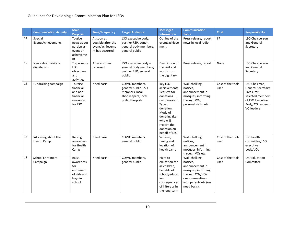|    | <b>Communication Activity</b>             | <b>Main</b><br><b>Purpose</b>                                               | <b>Time/Frequency</b>                                                  | <b>Target Audience</b>                                                                           | Message/<br><b>Information</b>                                                                                                                                                          | <b>Communication</b><br><b>Tools</b>                                                                                                              | Cost                      | <b>Responsibility</b>                                                                                                        |
|----|-------------------------------------------|-----------------------------------------------------------------------------|------------------------------------------------------------------------|--------------------------------------------------------------------------------------------------|-----------------------------------------------------------------------------------------------------------------------------------------------------------------------------------------|---------------------------------------------------------------------------------------------------------------------------------------------------|---------------------------|------------------------------------------------------------------------------------------------------------------------------|
| 14 | Special<br>Event/Achievements             | To give<br>news about<br>particular<br>event or<br>achieveme<br>nt          | As soon as<br>possible after the<br>event/achieveme<br>nt has occurred | LSO executive body,<br>partner RSP, donor,<br>general body members,<br>general public            | Outline of the<br>event/achieve<br>ment                                                                                                                                                 | Press release, report,<br>news in local radio                                                                                                     | ??                        | <b>LSO Chairperson</b><br>and General<br>Secretary                                                                           |
| 15 | News about visits of<br>dignitaries       | To promote<br><b>LSO</b><br>objectives<br>and<br>activities                 | After visit has<br>occurred                                            | LSO executive body +<br>general body members,<br>partner RSP, general<br>public                  | Description of<br>the visit and<br>words from<br>the dignitary                                                                                                                          | Press release, report                                                                                                                             | None                      | LSO Chairperson<br>and General<br>Secretary                                                                                  |
| 16 | Fundraising campaign                      | To raise<br>financial<br>and non-<br>financial<br>resources<br>for LSO      | Need basis                                                             | CO/VO members,<br>general public, LSO<br>members, local<br>shopkeepers, local<br>philanthropists | Key LSO<br>achievements.<br>Request for<br>donations<br>(with reason).<br>Type of<br>donation.<br>Mode of<br>donating (i.e.<br>who will<br>receive the<br>donation on<br>behalf of LSO) | Wall-chalking,<br>notices,<br>announcement in<br>mosques, informing<br>through VOs,<br>personal visits, etc.                                      | Cost of the tools<br>used | LSO Chairman,<br>General Secretary,<br>Treasurer,<br>selected members<br>of LSO Executive<br>Body, CO leaders,<br>VO leaders |
| 17 | Informing about the<br><b>Health Camp</b> | Raising<br>awareness<br>for Health<br>Camp                                  | Need basis                                                             | CO/VO members,<br>general public                                                                 | Services,<br>timing and<br>location of<br>health camp                                                                                                                                   | Wall-chalking,<br>notices,<br>announcement in<br>mosques, informing<br>through VOs etc.                                                           | Cost of the tools<br>used | LSO health<br>committee/LSO<br>executive<br>body/VOs                                                                         |
| 18 | <b>School Enrolment</b><br>Campaign       | Raise<br>awareness<br>for<br>enrolment<br>of girls and<br>boys in<br>school | Need basis                                                             | CO/VO members,<br>general public                                                                 | Right to<br>education for<br>all children,<br>benefits of<br>school/educat<br>ion,<br>consequences<br>of illiteracy in<br>the long-term                                                 | Wall-chalking,<br>notices,<br>announcement in<br>mosques, informing<br>through COs/VOs<br>one-on-meetings<br>with parents etc (on<br>need basis). | Cost of the tools<br>used | <b>LSO Education</b><br>Committee                                                                                            |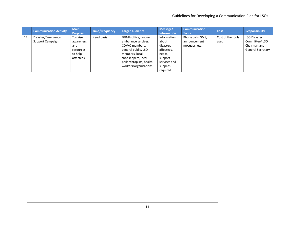|    | <b>Communication Activity</b>          | <b>Main</b><br><b>Purpose</b>                                     | <b>Time/Frequency</b> | <b>Target Audience</b>                                                                                                                                                           | Message/<br>Information                                                                                      | <b>Communication</b><br><b>Tools</b>                  | Cost                      | <b>Responsibility</b>                                                            |
|----|----------------------------------------|-------------------------------------------------------------------|-----------------------|----------------------------------------------------------------------------------------------------------------------------------------------------------------------------------|--------------------------------------------------------------------------------------------------------------|-------------------------------------------------------|---------------------------|----------------------------------------------------------------------------------|
| 19 | Disaster/Emergency<br>Support Campaign | To raise<br>awareness<br>and<br>resources<br>to help<br>affectees | Need basis            | DDMA office, rescue,<br>ambulance services,<br>CO/VO members,<br>general public, LSO<br>members, local<br>shopkeepers, local<br>philanthropists, health<br>workers/organizations | Information<br>about<br>disaster,<br>affectees,<br>needs,<br>support<br>services and<br>supplies<br>reguired | Phone calls, SMS,<br>announcement in<br>mosques, etc. | Cost of the tools<br>used | <b>LSO Disaster</b><br>Committee/LSO<br>Chairman and<br><b>General Secretary</b> |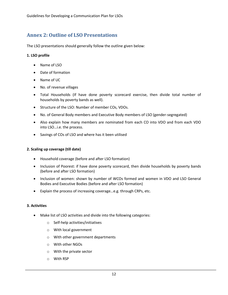# <span id="page-15-0"></span>**Annex 2: Outline of LSO Presentations**

The LSO presentations should generally follow the outline given below:

### **1. LSO profile**

- Name of LSO
- Date of formation
- Name of UC
- No. of revenue villages
- Total Households (If have done poverty scorecard exercise, then divide total number of households by poverty bands as well).
- Structure of the LSO: Number of member COs, VDOs.
- No. of General Body members and Executive Body members of LSO (gender-segregated)
- Also explain how many members are nominated from each CO into VDO and from each VDO into LSO…i.e. the process.
- Savings of COs of LSO and where has it been utilised

### **2. Scaling up coverage (till date)**

- Household coverage (before and after LSO formation)
- Inclusion of Poorest: if have done poverty scorecard, then divide households by poverty bands (before and after LSO formation)
- Inclusion of women: shown by number of WCOs formed and women in VDO and LSO General Bodies and Executive Bodies (before and after LSO formation)
- Explain the process of increasing coverage…e.g. through CRPs, etc.

### **3. Activities**

- Make list of LSO activities and divide into the following categories:
	- o Self-help activities/initiatives
	- o With local government
	- o With other government departments
	- o With other NGOs
	- o With the private sector
	- o With RSP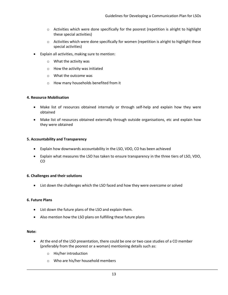- $\circ$  Activities which were done specifically for the poorest (repetition is alright to highlight these special activities)
- $\circ$  Activities which were done specifically for women (repetition is alright to highlight these special activities)
- Explain all activities, making sure to mention:
	- o What the activity was
	- o How the activity was initiated
	- o What the outcome was
	- o How many households benefited from it

#### **4. Resource Mobilisation**

- Make list of resources obtained internally or through self-help and explain how they were obtained
- Make list of resources obtained externally through outside organisations, etc and explain how they were obtained

#### **5. Accountability and Transparency**

- Explain how downwards accountability in the LSO, VDO, CO has been achieved
- Explain what measures the LSO has taken to ensure transparency in the three tiers of LSO, VDO, CO

#### **6. Challenges and their solutions**

List down the challenges which the LSO faced and how they were overcome or solved

#### **6. Future Plans**

- List down the future plans of the LSO and explain them.
- Also mention how the LSO plans on fulfilling these future plans

#### **Note:**

- At the end of the LSO presentation, there could be one or two case studies of a CO member (preferably from the poorest or a woman) mentioning details such as:
	- o His/her introduction
	- o Who are his/her household members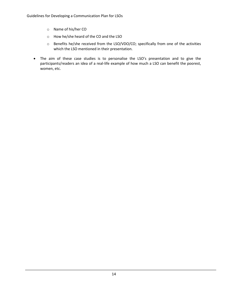- o Name of his/her CO
- o How he/she heard of the CO and the LSO
- o Benefits he/she received from the LSO/VDO/CO; specifically from one of the activities which the LSO mentioned in their presentation.
- The aim of these case studies is to personalise the LSO's presentation and to give the participants/readers an idea of a real-life example of how much a LSO can benefit the poorest, women, etc.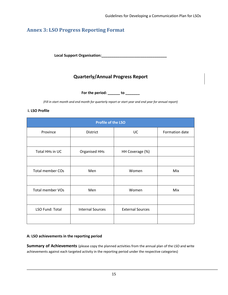# <span id="page-18-0"></span>**Annex 3: LSO Progress Reporting Format**

**Local Support Organisation:\_\_\_\_\_\_\_\_\_\_\_\_\_\_\_\_\_\_\_\_\_\_\_\_\_\_\_\_\_\_\_\_**

# **Quarterly/Annual Progress Report**

**For the period: \_\_\_\_\_\_ to \_\_\_\_\_\_\_**

*(Fill in start month and end month for quarterly report or start year and end year for annual report)*

### **i. LSO Profile**

| <b>Profile of the LSO</b> |                         |                         |                |  |  |  |  |  |  |
|---------------------------|-------------------------|-------------------------|----------------|--|--|--|--|--|--|
| Province                  | <b>District</b>         | UC                      | Formation date |  |  |  |  |  |  |
|                           |                         |                         |                |  |  |  |  |  |  |
| Total HHs in UC           | <b>Organised HHs</b>    | HH Coverage (%)         |                |  |  |  |  |  |  |
|                           |                         |                         |                |  |  |  |  |  |  |
| <b>Total member COs</b>   | Men                     | Women                   | Mix            |  |  |  |  |  |  |
|                           |                         |                         |                |  |  |  |  |  |  |
| <b>Total member VOs</b>   | Men                     | Women                   | Mix            |  |  |  |  |  |  |
|                           |                         |                         |                |  |  |  |  |  |  |
| LSO Fund: Total           | <b>Internal Sources</b> | <b>External Sources</b> |                |  |  |  |  |  |  |
|                           |                         |                         |                |  |  |  |  |  |  |

### **A: LSO achievements in the reporting period**

**Summary of Achievements** (please copy the planned activities from the annual plan of the LSO and write achievements against each targeted activity in the reporting period under the respective categories)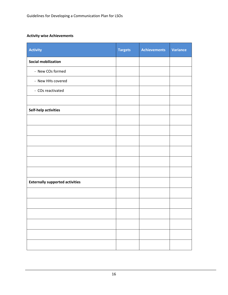### **Activity wise Achievements**

| <b>Activity</b>                        | <b>Targets</b> | <b>Achievements</b> | <b>Variance</b> |
|----------------------------------------|----------------|---------------------|-----------------|
| <b>Social mobilization</b>             |                |                     |                 |
| - New COs formed                       |                |                     |                 |
| - New HHs covered                      |                |                     |                 |
| - COs reactivated                      |                |                     |                 |
|                                        |                |                     |                 |
| Self-help activities                   |                |                     |                 |
|                                        |                |                     |                 |
|                                        |                |                     |                 |
|                                        |                |                     |                 |
|                                        |                |                     |                 |
|                                        |                |                     |                 |
|                                        |                |                     |                 |
| <b>Externally supported activities</b> |                |                     |                 |
|                                        |                |                     |                 |
|                                        |                |                     |                 |
|                                        |                |                     |                 |
|                                        |                |                     |                 |
|                                        |                |                     |                 |
|                                        |                |                     |                 |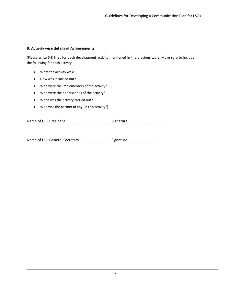#### **B: Activity wise details of Achievements**

(Please write 5-8 lines for each development activity mentioned in the previous table. Make sure to include the following for each activity:

- What the activity was?
- How was it carried out?
- Who were the implementers of the activity?
- Who were the beneficiaries of the activity?
- When was the activity carried out?
- Who was the partner (if any) in this activity?)

Name of LSO President and the signature Signature

Name of LSO General Secretary\_\_\_\_\_\_\_\_\_\_\_\_\_\_\_\_\_\_\_ Signature\_\_\_\_\_\_\_\_\_\_\_\_\_\_\_\_\_\_\_\_\_\_